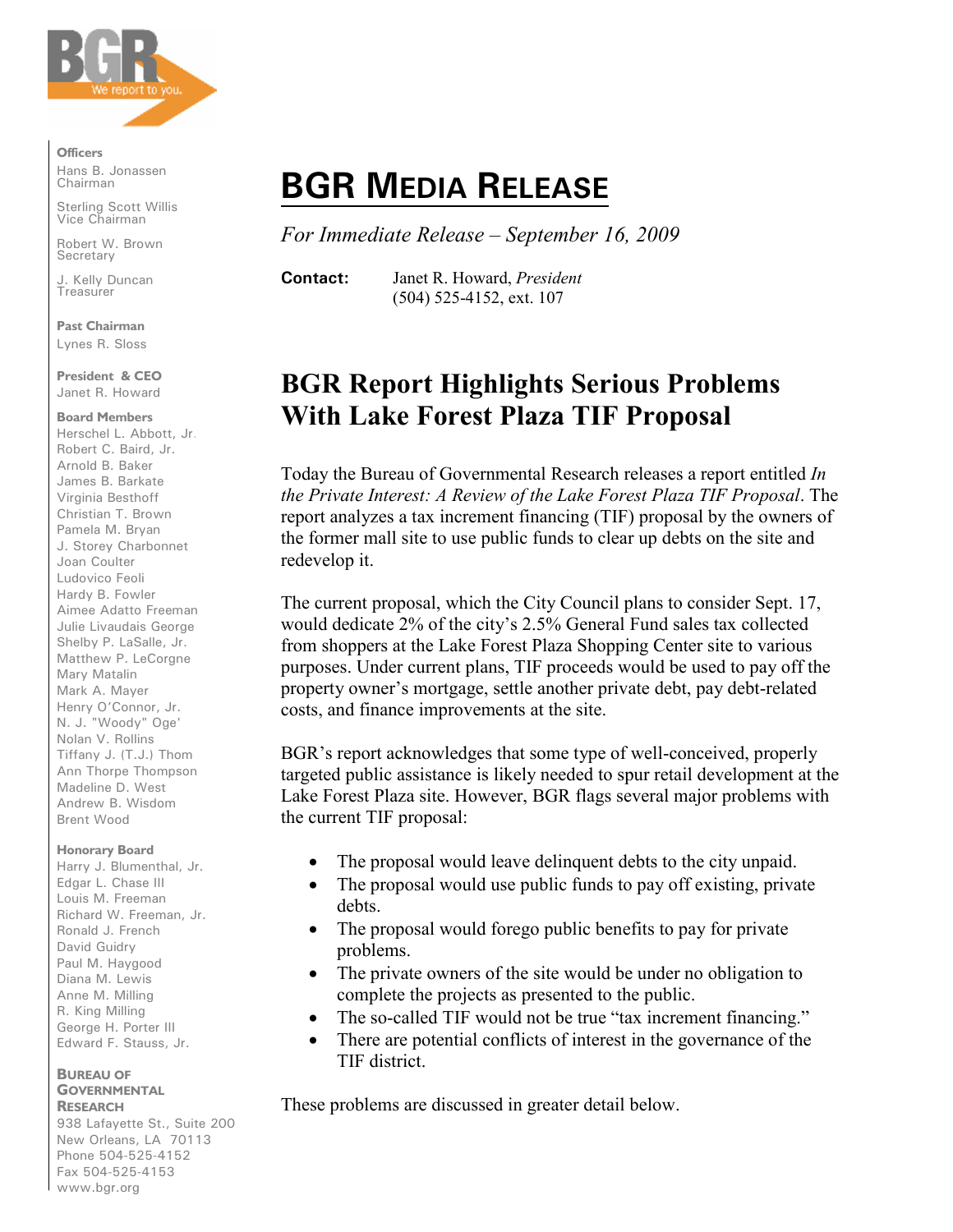

**Officers**

Hans B. Jonassen Chairman

Sterling Scott Willis Vice Chairman

Robert W. Brown **Secretary** 

J. Kelly Duncan **Treasurer** 

**Past Chairman**  Lynes R. Sloss

**President & CEO** Janet R. Howard

#### **Board Members**

Herschel L. Abbott, Jr. Robert C. Baird, Jr. Arnold B. Baker James B. Barkate Virginia Besthoff Christian T. Brown Pamela M. Bryan J. Storey Charbonnet Joan Coulter Ludovico Feoli Hardy B. Fowler Aimee Adatto Freeman Julie Livaudais George Shelby P. LaSalle, Jr. Matthew P. LeCorgne Mary Matalin Mark A. Mayer Henry O'Connor, Jr. N. J. "Woody" Oge' Nolan V. Rollins Tiffany J. (T.J.) Thom Ann Thorpe Thompson Madeline D. West Andrew B. Wisdom Brent Wood

### **Honorary Board**

Harry J. Blumenthal, Jr. Edgar L. Chase III Louis M. Freeman Richard W. Freeman, Jr. Ronald J. French David Guidry Paul M. Haygood Diana M. Lewis Anne M. Milling R. King Milling George H. Porter III Edward F. Stauss, Jr.

#### **BUREAU OF GOVERNMENTAL RESEARCH**

938 Lafayette St., Suite 200 New Orleans, LA 70113 Phone 504-525-4152 Fax 504-525-4153 www.bgr.org

# **BGR MEDIA RELEASE**

*For Immediate Release – September 16, 2009*

**Contact:** Janet R. Howard, *President* (504) 525-4152, ext. 107

## **BGR Report Highlights Serious Problems With Lake Forest Plaza TIF Proposal**

Today the Bureau of Governmental Research releases a report entitled *In the Private Interest: A Review of the Lake Forest Plaza TIF Proposal*. The report analyzes a tax increment financing (TIF) proposal by the owners of the former mall site to use public funds to clear up debts on the site and redevelop it.

The current proposal, which the City Council plans to consider Sept. 17, would dedicate 2% of the city's 2.5% General Fund sales tax collected from shoppers at the Lake Forest Plaza Shopping Center site to various purposes. Under current plans, TIF proceeds would be used to pay off the property owner's mortgage, settle another private debt, pay debt-related costs, and finance improvements at the site.

BGR's report acknowledges that some type of well-conceived, properly targeted public assistance is likely needed to spur retail development at the Lake Forest Plaza site. However, BGR flags several major problems with the current TIF proposal:

- The proposal would leave delinquent debts to the city unpaid.
- The proposal would use public funds to pay off existing, private debts.
- The proposal would forego public benefits to pay for private problems.
- The private owners of the site would be under no obligation to complete the projects as presented to the public.
- The so-called TIF would not be true "tax increment financing."
- There are potential conflicts of interest in the governance of the TIF district.

These problems are discussed in greater detail below.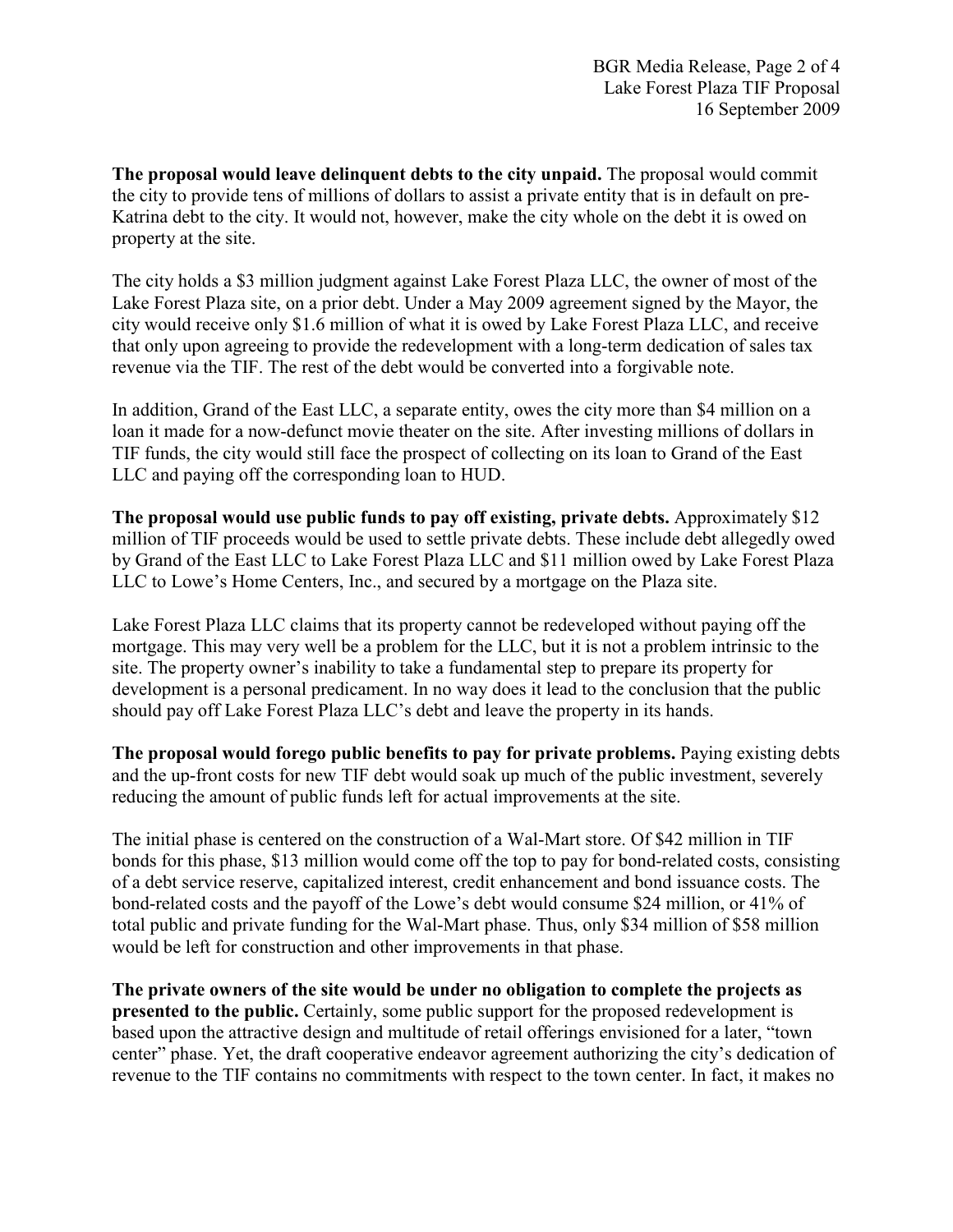**The proposal would leave delinquent debts to the city unpaid.** The proposal would commit the city to provide tens of millions of dollars to assist a private entity that is in default on pre-Katrina debt to the city. It would not, however, make the city whole on the debt it is owed on property at the site.

The city holds a \$3 million judgment against Lake Forest Plaza LLC, the owner of most of the Lake Forest Plaza site, on a prior debt. Under a May 2009 agreement signed by the Mayor, the city would receive only \$1.6 million of what it is owed by Lake Forest Plaza LLC, and receive that only upon agreeing to provide the redevelopment with a long-term dedication of sales tax revenue via the TIF. The rest of the debt would be converted into a forgivable note.

In addition, Grand of the East LLC, a separate entity, owes the city more than \$4 million on a loan it made for a now-defunct movie theater on the site. After investing millions of dollars in TIF funds, the city would still face the prospect of collecting on its loan to Grand of the East LLC and paying off the corresponding loan to HUD.

**The proposal would use public funds to pay off existing, private debts.** Approximately \$12 million of TIF proceeds would be used to settle private debts. These include debt allegedly owed by Grand of the East LLC to Lake Forest Plaza LLC and \$11 million owed by Lake Forest Plaza LLC to Lowe's Home Centers, Inc., and secured by a mortgage on the Plaza site.

Lake Forest Plaza LLC claims that its property cannot be redeveloped without paying off the mortgage. This may very well be a problem for the LLC, but it is not a problem intrinsic to the site. The property owner's inability to take a fundamental step to prepare its property for development is a personal predicament. In no way does it lead to the conclusion that the public should pay off Lake Forest Plaza LLC's debt and leave the property in its hands.

**The proposal would forego public benefits to pay for private problems.** Paying existing debts and the up-front costs for new TIF debt would soak up much of the public investment, severely reducing the amount of public funds left for actual improvements at the site.

The initial phase is centered on the construction of a Wal-Mart store. Of \$42 million in TIF bonds for this phase, \$13 million would come off the top to pay for bond-related costs, consisting of a debt service reserve, capitalized interest, credit enhancement and bond issuance costs. The bond-related costs and the payoff of the Lowe's debt would consume \$24 million, or 41% of total public and private funding for the Wal-Mart phase. Thus, only \$34 million of \$58 million would be left for construction and other improvements in that phase.

**The private owners of the site would be under no obligation to complete the projects as presented to the public.** Certainly, some public support for the proposed redevelopment is based upon the attractive design and multitude of retail offerings envisioned for a later, "town center" phase. Yet, the draft cooperative endeavor agreement authorizing the city's dedication of revenue to the TIF contains no commitments with respect to the town center. In fact, it makes no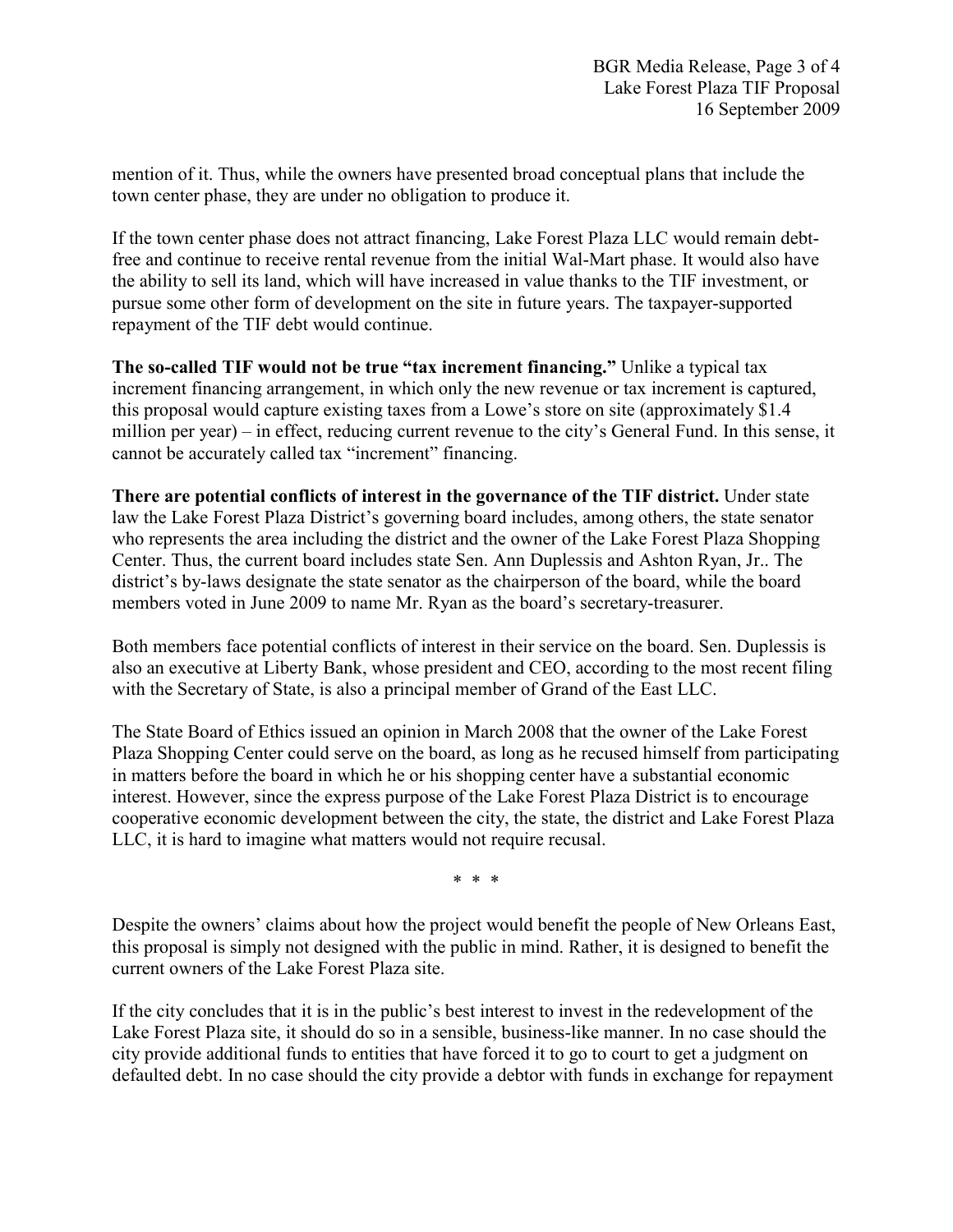mention of it. Thus, while the owners have presented broad conceptual plans that include the town center phase, they are under no obligation to produce it.

If the town center phase does not attract financing, Lake Forest Plaza LLC would remain debtfree and continue to receive rental revenue from the initial Wal-Mart phase. It would also have the ability to sell its land, which will have increased in value thanks to the TIF investment, or pursue some other form of development on the site in future years. The taxpayer-supported repayment of the TIF debt would continue.

**The so-called TIF would not be true "tax increment financing."** Unlike a typical tax increment financing arrangement, in which only the new revenue or tax increment is captured, this proposal would capture existing taxes from a Lowe's store on site (approximately \$1.4 million per year) – in effect, reducing current revenue to the city's General Fund. In this sense, it cannot be accurately called tax "increment" financing.

**There are potential conflicts of interest in the governance of the TIF district.** Under state law the Lake Forest Plaza District's governing board includes, among others, the state senator who represents the area including the district and the owner of the Lake Forest Plaza Shopping Center. Thus, the current board includes state Sen. Ann Duplessis and Ashton Ryan, Jr.. The district's by-laws designate the state senator as the chairperson of the board, while the board members voted in June 2009 to name Mr. Ryan as the board's secretary-treasurer.

Both members face potential conflicts of interest in their service on the board. Sen. Duplessis is also an executive at Liberty Bank, whose president and CEO, according to the most recent filing with the Secretary of State, is also a principal member of Grand of the East LLC.

The State Board of Ethics issued an opinion in March 2008 that the owner of the Lake Forest Plaza Shopping Center could serve on the board, as long as he recused himself from participating in matters before the board in which he or his shopping center have a substantial economic interest. However, since the express purpose of the Lake Forest Plaza District is to encourage cooperative economic development between the city, the state, the district and Lake Forest Plaza LLC, it is hard to imagine what matters would not require recusal.

\* \* \*

Despite the owners' claims about how the project would benefit the people of New Orleans East, this proposal is simply not designed with the public in mind. Rather, it is designed to benefit the current owners of the Lake Forest Plaza site.

If the city concludes that it is in the public's best interest to invest in the redevelopment of the Lake Forest Plaza site, it should do so in a sensible, business-like manner. In no case should the city provide additional funds to entities that have forced it to go to court to get a judgment on defaulted debt. In no case should the city provide a debtor with funds in exchange for repayment